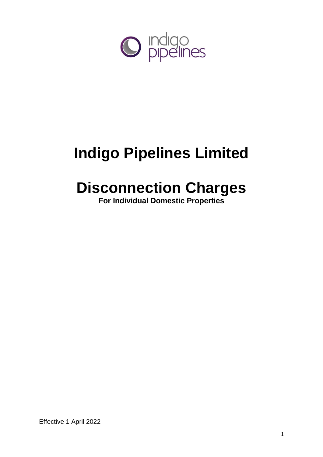

# **Indigo Pipelines Limited**

## **Disconnection Charges**

**For Individual Domestic Properties**

Effective 1 April 2022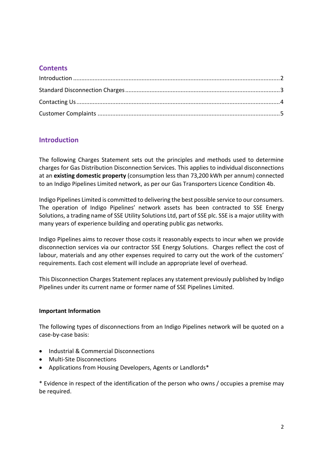### **Contents**

## <span id="page-1-0"></span>**Introduction**

The following Charges Statement sets out the principles and methods used to determine charges for Gas Distribution Disconnection Services. This applies to individual disconnections at an **existing domestic property** (consumption less than 73,200 kWh per annum) connected to an Indigo Pipelines Limited network, as per our Gas Transporters Licence Condition 4b.

Indigo Pipelines Limited is committed to delivering the best possible service to our consumers. The operation of Indigo Pipelines' network assets has been contracted to SSE Energy Solutions, a trading name of SSE Utility Solutions Ltd, part of SSE plc. SSE is a major utility with many years of experience building and operating public gas networks.

Indigo Pipelines aims to recover those costs it reasonably expects to incur when we provide disconnection services via our contractor SSE Energy Solutions. Charges reflect the cost of labour, materials and any other expenses required to carry out the work of the customers' requirements. Each cost element will include an appropriate level of overhead.

This Disconnection Charges Statement replaces any statement previously published by Indigo Pipelines under its current name or former name of SSE Pipelines Limited.

#### **Important Information**

The following types of disconnections from an Indigo Pipelines network will be quoted on a case-by-case basis:

- Industrial & Commercial Disconnections
- Multi-Site Disconnections
- Applications from Housing Developers, Agents or Landlords\*

\* Evidence in respect of the identification of the person who owns / occupies a premise may be required.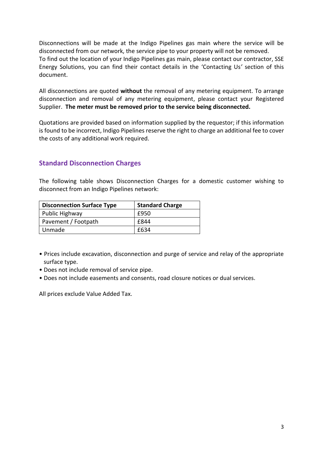Disconnections will be made at the Indigo Pipelines gas main where the service will be disconnected from our network, the service pipe to your property will not be removed. To find out the location of your Indigo Pipelines gas main, please contact our contractor, SSE Energy Solutions, you can find their contact details in the 'Contacting Us*'* section of this document.

All disconnections are quoted **without** the removal of any metering equipment. To arrange disconnection and removal of any metering equipment, please contact your Registered Supplier. **The meter must be removed prior to the service being disconnected.**

Quotations are provided based on information supplied by the requestor; if this information is found to be incorrect, Indigo Pipelines reserve the right to charge an additional fee to cover the costs of any additional work required.

## <span id="page-2-0"></span>**Standard Disconnection Charges**

The following table shows Disconnection Charges for a domestic customer wishing to disconnect from an Indigo Pipelines network:

| <b>Disconnection Surface Type</b> | <b>Standard Charge</b> |
|-----------------------------------|------------------------|
| Public Highway                    | £950                   |
| Pavement / Footpath               | f844                   |
| Unmade                            | £634                   |

- Prices include excavation, disconnection and purge of service and relay of the appropriate surface type.
- Does not include removal of service pipe.
- Does not include easements and consents, road closure notices or dual services.

<span id="page-2-1"></span>All prices exclude Value Added Tax.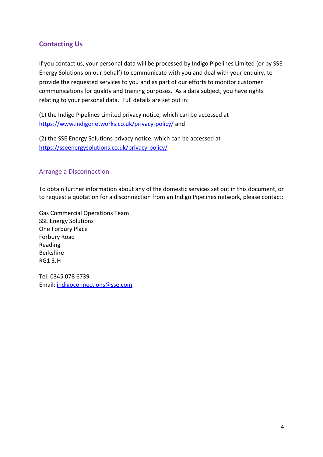## **Contacting Us**

If you contact us, your personal data will be processed by Indigo Pipelines Limited (or by SSE Energy Solutions on our behalf) to communicate with you and deal with your enquiry, to provide the requested services to you and as part of our efforts to monitor customer communications for quality and training purposes. As a data subject, you have rights relating to your personal data. Full details are set out in:

(1) the Indigo Pipelines Limited privacy notice, which can be accessed at <https://www.indigonetworks.co.uk/privacy-policy/> and

(2) the SSE Energy Solutions privacy notice, which can be accessed at <https://sseenergysolutions.co.uk/privacy-policy/>

#### Arrange a Disconnection

To obtain further information about any of the domestic services set out in this document, or to request a quotation for a disconnection from an Indigo Pipelines network, please contact:

Gas Commercial Operations Team SSE Energy Solutions One Forbury Place Forbury Road Reading Berkshire RG1 3JH

<span id="page-3-0"></span>Tel: 0345 078 6739 Email: [indigoconnections@sse.com](mailto:indigoconnections@sse.com)